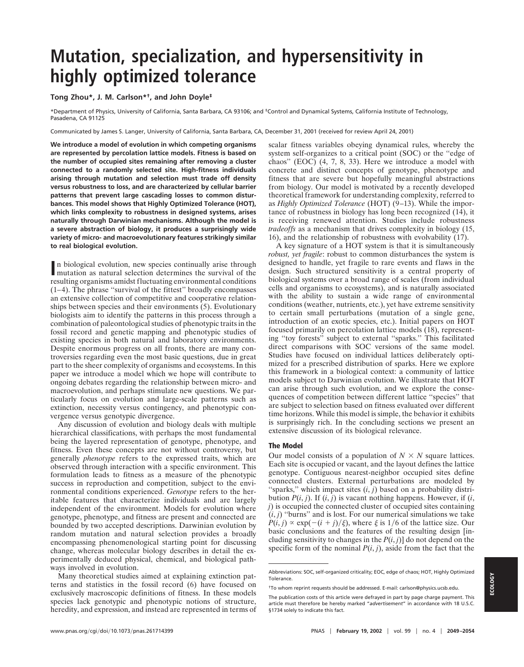# **Mutation, specialization, and hypersensitivity in highly optimized tolerance**

## **Tong Zhou\*, J. M. Carlson\*†, and John Doyle‡**

\*Department of Physics, University of California, Santa Barbara, CA 93106; and ‡Control and Dynamical Systems, California Institute of Technology, Pasadena, CA 91125

Communicated by James S. Langer, University of California, Santa Barbara, CA, December 31, 2001 (received for review April 24, 2001)

**We introduce a model of evolution in which competing organisms are represented by percolation lattice models. Fitness is based on the number of occupied sites remaining after removing a cluster connected to a randomly selected site. High-fitness individuals arising through mutation and selection must trade off density versus robustness to loss, and are characterized by cellular barrier patterns that prevent large cascading losses to common disturbances. This model shows that Highly Optimized Tolerance (HOT), which links complexity to robustness in designed systems, arises naturally through Darwinian mechanisms. Although the model is a severe abstraction of biology, it produces a surprisingly wide variety of micro- and macroevolutionary features strikingly similar to real biological evolution.**

In biological evolution, new species continually arise through<br> **I**nutation as natural selection determines the survival of the mutation as natural selection determines the survival of the resulting organisms amidst fluctuating environmental conditions (1–4). The phrase ''survival of the fittest'' broadly encompasses an extensive collection of competitive and cooperative relationships between species and their environments  $(5)$ . Evolutionary biologists aim to identify the patterns in this process through a combination of paleontological studies of phenotypic traits in the fossil record and genetic mapping and phenotypic studies of existing species in both natural and laboratory environments. Despite enormous progress on all fronts, there are many controversies regarding even the most basic questions, due in great part to the sheer complexity of organisms and ecosystems. In this paper we introduce a model which we hope will contribute to ongoing debates regarding the relationship between micro- and macroevolution, and perhaps stimulate new questions. We particularly focus on evolution and large-scale patterns such as extinction, necessity versus contingency, and phenotypic convergence versus genotypic divergence.

Any discussion of evolution and biology deals with multiple hierarchical classifications, with perhaps the most fundamental being the layered representation of genotype, phenotype, and fitness. Even these concepts are not without controversy, but generally *phenotype* refers to the expressed traits, which are observed through interaction with a specific environment. This formulation leads to fitness as a measure of the phenotypic success in reproduction and competition, subject to the environmental conditions experienced. *Genotype* refers to the heritable features that characterize individuals and are largely independent of the environment. Models for evolution where genotype, phenotype, and fitness are present and connected are bounded by two accepted descriptions. Darwinian evolution by random mutation and natural selection provides a broadly encompassing phenomenological starting point for discussing change, whereas molecular biology describes in detail the experimentally deduced physical, chemical, and biological pathways involved in evolution.

Many theoretical studies aimed at explaining extinction patterns and statistics in the fossil record (6) have focused on exclusively macroscopic definitions of fitness. In these models species lack genotypic and phenotypic notions of structure, heredity, and expression, and instead are represented in terms of scalar fitness variables obeying dynamical rules, whereby the system self-organizes to a critical point (SOC) or the ''edge of chaos'' (EOC) (4, 7, 8, 33). Here we introduce a model with concrete and distinct concepts of genotype, phenotype and fitness that are severe but hopefully meaningful abstractions from biology. Our model is motivated by a recently developed theoretical framework for understanding complexity, referred to as *Highly Optimized Tolerance* (HOT) (9–13). While the importance of robustness in biology has long been recognized (14), it is receiving renewed attention. Studies include robustness *tradeoffs* as a mechanism that drives complexity in biology (15, 16), and the relationship of robustness with evolvability (17).

A key signature of a HOT system is that it is simultaneously *robust, yet fragile*: robust to common disturbances the system is designed to handle, yet fragile to rare events and flaws in the design. Such structured sensitivity is a central property of biological systems over a broad range of scales (from individual cells and organisms to ecosystems), and is naturally associated with the ability to sustain a wide range of environmental conditions (weather, nutrients, etc.), yet have extreme sensitivity to certain small perturbations (mutation of a single gene, introduction of an exotic species, etc.). Initial papers on HOT focused primarily on percolation lattice models (18), representing ''toy forests'' subject to external ''sparks.'' This facilitated direct comparisons with SOC versions of the same model. Studies have focused on individual lattices deliberately optimized for a prescribed distribution of sparks. Here we explore this framework in a biological context: a community of lattice models subject to Darwinian evolution. We illustrate that HOT can arise through such evolution, and we explore the consequences of competition between different lattice ''species'' that are subject to selection based on fitness evaluated over different time horizons. While this model is simple, the behavior it exhibits is surprisingly rich. In the concluding sections we present an extensive discussion of its biological relevance.

### **The Model**

Our model consists of a population of  $N \times N$  square lattices. Each site is occupied or vacant, and the layout defines the lattice genotype. Contiguous nearest-neighbor occupied sites define connected clusters. External perturbations are modeled by 'sparks," which impact sites  $(i, j)$  based on a probability distribution  $P(i, j)$ . If  $(i, j)$  is vacant nothing happens. However, if  $(i, j)$ *j*) is occupied the connected cluster of occupied sites containing  $(i, j)$  "burns" and is lost. For our numerical simulations we take  $P(i, j) \propto \exp(-(i + j)/\xi)$ , where  $\xi$  is 1/6 of the lattice size. Our basic conclusions and the features of the resulting design [including sensitivity to changes in the  $P(i, j)$ ] do not depend on the specific form of the nominal  $P(i, j)$ , aside from the fact that the

Abbreviations: SOC, self-organized criticality; EOC, edge of chaos; HOT, Highly Optimized Tolerance.

<sup>†</sup>To whom reprint requests should be addressed. E-mail: carlson@physics.ucsb.edu.

The publication costs of this article were defrayed in part by page charge payment. This article must therefore be hereby marked "*advertisement*" in accordance with 18 U.S.C. §1734 solely to indicate this fact.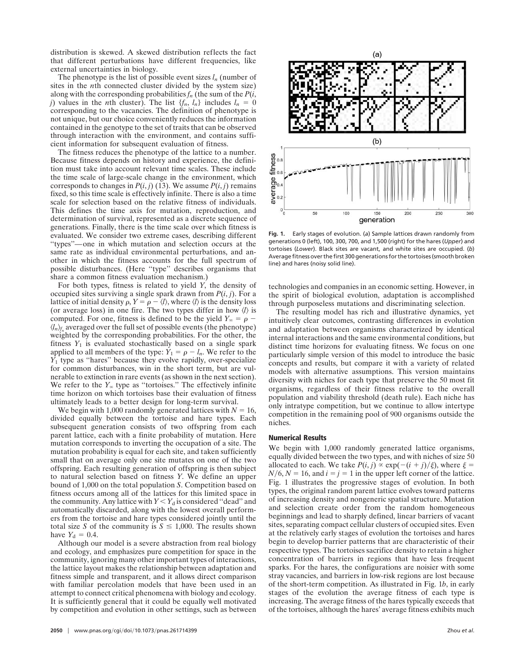distribution is skewed. A skewed distribution reflects the fact that different perturbations have different frequencies, like external uncertainties in biology.

The phenotype is the list of possible event sizes  $l_n$  (number of sites in the *n*th connected cluster divided by the system size) along with the corresponding probabilities  $f_n$  (the sum of the  $P(i,$ *j*) values in the *n*th cluster). The list  $\{f_n, l_n\}$  includes  $l_n = 0$ corresponding to the vacancies. The definition of phenotype is not unique, but our choice conveniently reduces the information contained in the genotype to the set of traits that can be observed through interaction with the environment, and contains sufficient information for subsequent evaluation of fitness.

The fitness reduces the phenotype of the lattice to a number. Because fitness depends on history and experience, the definition must take into account relevant time scales. These include the time scale of large-scale change in the environment, which corresponds to changes in  $P(i, j)$  (13). We assume  $P(i, j)$  remains fixed, so this time scale is effectively infinite. There is also a time scale for selection based on the relative fitness of individuals. This defines the time axis for mutation, reproduction, and determination of survival, represented as a discrete sequence of generations. Finally, there is the time scale over which fitness is evaluated. We consider two extreme cases, describing different ''types''—one in which mutation and selection occurs at the same rate as individual environmental perturbations, and another in which the fitness accounts for the full spectrum of possible disturbances. (Here ''type'' describes organisms that share a common fitness evaluation mechanism.)

For both types, fitness is related to yield *Y*, the density of occupied sites surviving a single spark drawn from  $P(i, j)$ . For a lattice of initial density  $\rho$ ,  $Y = \rho - \langle l \rangle$ , where  $\langle l \rangle$  is the density loss (or average loss) in one fire. The two types differ in how  $\langle l \rangle$  is computed. For one, fitness is defined to be the yield  $Y_\infty = \rho$  - $\langle l_n \rangle_f$  averaged over the full set of possible events (the phenotype) weighted by the corresponding probabilities. For the other, the fitness  $Y_1$  is evaluated stochastically based on a single spark applied to all members of the type:  $Y_1 = \rho - l_n$ . We refer to the *Y*<sup>1</sup> type as ''hares'' because they evolve rapidly, over-specialize for common disturbances, win in the short term, but are vulnerable to extinction in rare events (as shown in the next section). We refer to the  $Y_{\infty}$  type as "tortoises." The effectively infinite time horizon on which tortoises base their evaluation of fitness ultimately leads to a better design for long-term survival.

We begin with 1,000 randomly generated lattices with  $N = 16$ , divided equally between the tortoise and hare types. Each subsequent generation consists of two offspring from each parent lattice, each with a finite probability of mutation. Here mutation corresponds to inverting the occupation of a site. The mutation probability is equal for each site, and taken sufficiently small that on average only one site mutates on one of the two offspring. Each resulting generation of offspring is then subject to natural selection based on fitness *Y*. We define an upper bound of 1,000 on the total population *S*. Competition based on fitness occurs among all of the lattices for this limited space in the community. Any lattice with  $Y < Y_d$  is considered "dead" and automatically discarded, along with the lowest overall performers from the tortoise and hare types considered jointly until the total size *S* of the community is  $S \leq 1,000$ . The results shown have  $Y_d = 0.4$ .

Although our model is a severe abstraction from real biology and ecology, and emphasizes pure competition for space in the community, ignoring many other important types of interactions, the lattice layout makes the relationship between adaptation and fitness simple and transparent, and it allows direct comparison with familiar percolation models that have been used in an attempt to connect critical phenomena with biology and ecology. It is sufficiently general that it could be equally well motivated by competition and evolution in other settings, such as between



**Fig. 1.** Early stages of evolution. (*a*) Sample lattices drawn randomly from generations 0 (left), 100, 300, 700, and 1,500 (right) for the hares (*Upper*) and tortoises (*Lower*). Black sites are vacant, and white sites are occupied. (*b*) Average fitness over the first 300 generations for the tortoises (smooth broken line) and hares (noisy solid line).

technologies and companies in an economic setting. However, in the spirit of biological evolution, adaptation is accomplished through purposeless mutations and discriminating selection.

The resulting model has rich and illustrative dynamics, yet intuitively clear outcomes, contrasting differences in evolution and adaptation between organisms characterized by identical internal interactions and the same environmental conditions, but distinct time horizons for evaluating fitness. We focus on one particularly simple version of this model to introduce the basic concepts and results, but compare it with a variety of related models with alternative assumptions. This version maintains diversity with niches for each type that preserve the 50 most fit organisms, regardless of their fitness relative to the overall population and viability threshold (death rule). Each niche has only intratype competition, but we continue to allow intertype competition in the remaining pool of 900 organisms outside the niches.

#### **Numerical Results**

We begin with 1,000 randomly generated lattice organisms, equally divided between the two types, and with niches of size 50 allocated to each. We take  $P(i, j) \propto \exp(-(i + j)/\xi)$ , where  $\xi =$  $N/6$ ,  $N = 16$ , and  $i = j = 1$  in the upper left corner of the lattice. Fig. 1 illustrates the progressive stages of evolution. In both types, the original random parent lattice evolves toward patterns of increasing density and nongeneric spatial structure. Mutation and selection create order from the random homogeneous beginnings and lead to sharply defined, linear barriers of vacant sites, separating compact cellular clusters of occupied sites. Even at the relatively early stages of evolution the tortoises and hares begin to develop barrier patterns that are characteristic of their respective types. The tortoises sacrifice density to retain a higher concentration of barriers in regions that have less frequent sparks. For the hares, the configurations are noisier with some stray vacancies, and barriers in low-risk regions are lost because of the short-term competition. As illustrated in Fig. 1*b*, in early stages of the evolution the average fitness of each type is increasing. The average fitness of the hares typically exceeds that of the tortoises, although the hares' average fitness exhibits much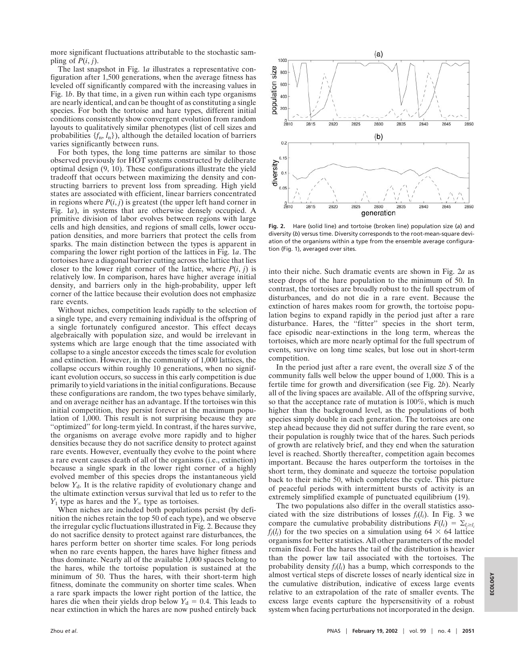more significant fluctuations attributable to the stochastic sampling of  $P(i, j)$ .

The last snapshot in Fig. 1*a* illustrates a representative configuration after 1,500 generations, when the average fitness has leveled off significantly compared with the increasing values in Fig. 1*b*. By that time, in a given run within each type organisms are nearly identical, and can be thought of as constituting a single species. For both the tortoise and hare types, different initial conditions consistently show convergent evolution from random layouts to qualitatively similar phenotypes (list of cell sizes and probabilities  $\{f_n, l_n\}$ , although the detailed location of barriers varies significantly between runs.

For both types, the long time patterns are similar to those observed previously for HOT systems constructed by deliberate optimal design (9, 10). These configurations illustrate the yield tradeoff that occurs between maximizing the density and constructing barriers to prevent loss from spreading. High yield states are associated with efficient, linear barriers concentrated in regions where  $P(i, j)$  is greatest (the upper left hand corner in Fig. 1*a*), in systems that are otherwise densely occupied. A primitive division of labor evolves between regions with large cells and high densities, and regions of small cells, lower occupation densities, and more barriers that protect the cells from sparks. The main distinction between the types is apparent in comparing the lower right portion of the lattices in Fig. 1*a*. The tortoises have a diagonal barrier cutting across the lattice that lies closer to the lower right corner of the lattice, where  $P(i, j)$  is relatively low. In comparison, hares have higher average initial density, and barriers only in the high-probability, upper left corner of the lattice because their evolution does not emphasize rare events.

Without niches, competition leads rapidly to the selection of a single type, and every remaining individual is the offspring of a single fortunately configured ancestor. This effect decays algebraically with population size, and would be irrelevant in systems which are large enough that the time associated with collapse to a single ancestor exceeds the times scale for evolution and extinction. However, in the community of 1,000 lattices, the collapse occurs within roughly 10 generations, when no significant evolution occurs, so success in this early competition is due primarily to yield variations in the initial configurations. Because these configurations are random, the two types behave similarly, and on average neither has an advantage. If the tortoises win this initial competition, they persist forever at the maximum population of 1,000. This result is not surprising because they are ''optimized'' for long-term yield. In contrast, if the hares survive, the organisms on average evolve more rapidly and to higher densities because they do not sacrifice density to protect against rare events. However, eventually they evolve to the point where a rare event causes death of all of the organisms (i.e., extinction) because a single spark in the lower right corner of a highly evolved member of this species drops the instantaneous yield below  $Y_d$ . It is the relative rapidity of evolutionary change and the ultimate extinction versus survival that led us to refer to the  $Y_1$  type as hares and the  $Y_\infty$  type as tortoises.

When niches are included both populations persist (by definition the niches retain the top 50 of each type), and we observe the irregular cyclic fluctuations illustrated in Fig. 2. Because they do not sacrifice density to protect against rare disturbances, the hares perform better on shorter time scales. For long periods when no rare events happen, the hares have higher fitness and thus dominate. Nearly all of the available 1,000 spaces belong to the hares, while the tortoise population is sustained at the minimum of 50. Thus the hares, with their short-term high fitness, dominate the community on shorter time scales. When a rare spark impacts the lower right portion of the lattice, the hares die when their yields drop below  $Y_d = 0.4$ . This leads to near extinction in which the hares are now pushed entirely back



**Fig. 2.** Hare (solid line) and tortoise (broken line) population size (*a*) and diversity (*b*) versus time. Diversity corresponds to the root-mean-square deviation of the organisms within a type from the ensemble average configuration (Fig. 1), averaged over sites.

into their niche. Such dramatic events are shown in Fig. 2*a* as steep drops of the hare population to the minimum of 50. In contrast, the tortoises are broadly robust to the full spectrum of disturbances, and do not die in a rare event. Because the extinction of hares makes room for growth, the tortoise population begins to expand rapidly in the period just after a rare disturbance. Hares, the "fitter" species in the short term, face episodic near-extinctions in the long term, whereas the tortoises, which are more nearly optimal for the full spectrum of events, survive on long time scales, but lose out in short-term competition.

In the period just after a rare event, the overall size *S* of the community falls well below the upper bound of 1,000. This is a fertile time for growth and diversification (see Fig. 2*b*). Nearly all of the living spaces are available. All of the offspring survive, so that the acceptance rate of mutation is 100%, which is much higher than the background level, as the populations of both species simply double in each generation. The tortoises are one step ahead because they did not suffer during the rare event, so their population is roughly twice that of the hares. Such periods of growth are relatively brief, and they end when the saturation level is reached. Shortly thereafter, competition again becomes important. Because the hares outperform the tortoises in the short term, they dominate and squeeze the tortoise population back to their niche 50, which completes the cycle. This picture of peaceful periods with intermittent bursts of activity is an extremely simplified example of punctuated equilibrium (19).

The two populations also differ in the overall statistics associated with the size distributions of losses  $f_i(l_i)$ . In Fig. 3 we compare the cumulative probability distributions  $F(l_i) = \sum_{l_i \ge l_i}$  $f_i(l_i)$  for the two species on a simulation using 64  $\times$  64 lattice organisms for better statistics. All other parameters of the model remain fixed. For the hares the tail of the distribution is heavier than the power law tail associated with the tortoises. The probability density  $f_i(l_i)$  has a bump, which corresponds to the almost vertical steps of discrete losses of nearly identical size in the cumulative distribution, indicative of excess large events relative to an extrapolation of the rate of smaller events. The excess large events capture the hypersensitivity of a robust system when facing perturbations not incorporated in the design.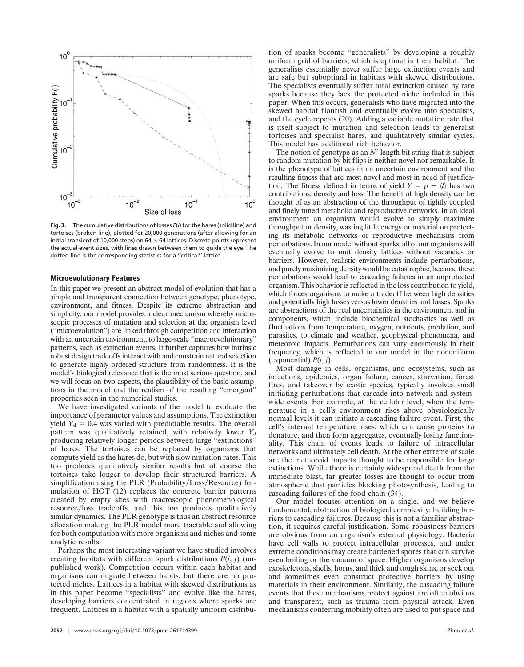

**Fig. 3.** The cumulative distributions of losses *F*(*l*) for the hares (solid line) and tortoises (broken line), plotted for 20,000 generations (after allowing for an initial transient of 10,000 steps) on 64  $\times$  64 lattices. Discrete points represent the actual event sizes, with lines drawn between them to guide the eye. The dotted line is the corresponding statistics for a ''critical'' lattice.

#### **Microevolutionary Features**

In this paper we present an abstract model of evolution that has a simple and transparent connection between genotype, phenotype, environment, and fitness. Despite its extreme abstraction and simplicity, our model provides a clear mechanism whereby microscopic processes of mutation and selection at the organism level (''microevolution'') are linked through competition and interaction with an uncertain environment, to large-scale ''macroevolutionary'' patterns, such as extinction events. It further captures how intrinsic robust design tradeoffs interact with and constrain natural selection to generate highly ordered structure from randomness. It is the model's biological relevance that is the most serious question, and we will focus on two aspects, the plausibility of the basic assumptions in the model and the realism of the resulting ''emergent'' properties seen in the numerical studies.

We have investigated variants of the model to evaluate the importance of parameter values and assumptions. The extinction yield  $Y_d = 0.4$  was varied with predictable results. The overall pattern was qualitatively retained, with relatively lower *Y*<sub>d</sub> producing relatively longer periods between large ''extinctions'' of hares. The tortoises can be replaced by organisms that compute yield as the hares do, but with slow mutation rates. This too produces qualitatively similar results but of course the tortoises take longer to develop their structured barriers. A simplification using the PLR (Probability/Loss/Resource) formulation of HOT (12) replaces the concrete barrier patterns created by empty sites with macroscopic phenomenological resource/loss tradeoffs, and this too produces qualitatively similar dynamics. The PLR genotype is thus an abstract resource allocation making the PLR model more tractable and allowing for both computation with more organisms and niches and some analytic results.

Perhaps the most interesting variant we have studied involves creating habitats with different spark distributions  $P(i, j)$  (unpublished work). Competition occurs within each habitat and organisms can migrate between habits, but there are no protected niches. Lattices in a habitat with skewed distributions as in this paper become ''specialists'' and evolve like the hares, developing barriers concentrated in regions where sparks are frequent. Lattices in a habitat with a spatially uniform distribution of sparks become ''generalists'' by developing a roughly uniform grid of barriers, which is optimal in their habitat. The generalists essentially never suffer large extinction events and are safe but suboptimal in habitats with skewed distributions. The specialists eventually suffer total extinction caused by rare sparks because they lack the protected niche included in this paper. When this occurs, generalists who have migrated into the skewed habitat flourish and eventually evolve into specialists, and the cycle repeats (20). Adding a variable mutation rate that is itself subject to mutation and selection leads to generalist tortoises and specialist hares, and qualitatively similar cycles. This model has additional rich behavior.

The notion of genotype as an  $N^2$  length bit string that is subject to random mutation by bit flips is neither novel nor remarkable. It is the phenotype of lattices in an uncertain environment and the resulting fitness that are most novel and most in need of justification. The fitness defined in terms of yield  $Y = \rho - \langle l \rangle$  has two contributions, density and loss. The benefit of high density can be thought of as an abstraction of the throughput of tightly coupled and finely tuned metabolic and reproductive networks. In an ideal environment an organism would evolve to simply maximize throughput or density, wasting little energy or material on protecting its metabolic networks or reproductive mechanisms from perturbations. In our model without sparks, all of our organisms will eventually evolve to unit density lattices without vacancies or barriers. However, realistic environments include perturbations, and purely maximizing density would be catastrophic, because these perturbations would lead to cascading failures in an unprotected organism. This behavior is reflected in the loss contribution to yield, which forces organisms to make a tradeoff between high densities and potentially high losses versus lower densities and losses. Sparks are abstractions of the real uncertainties in the environment and in components, which include biochemical stochastics as well as fluctuations from temperature, oxygen, nutrients, predation, and parasites, to climate and weather, geophysical phenomena, and meteoroid impacts. Perturbations can vary enormously in their frequency, which is reflected in our model in the nonuniform (exponential)  $P(i, j)$ .

Most damage in cells, organisms, and ecosystems, such as infections, epidemics, organ failure, cancer, starvation, forest fires, and takeover by exotic species, typically involves small initiating perturbations that cascade into network and systemwide events. For example, at the cellular level, when the temperature in a cell's environment rises above physiologically normal levels it can initiate a cascading failure event. First, the cell's internal temperature rises, which can cause proteins to denature, and then form aggregates, eventually losing functionality. This chain of events leads to failure of intracellular networks and ultimately cell death. At the other extreme of scale are the meteoroid impacts thought to be responsible for large extinctions. While there is certainly widespread death from the immediate blast, far greater losses are thought to occur from atmospheric dust particles blocking photosynthesis, leading to cascading failures of the food chain (34).

Our model focuses attention on a single, and we believe fundamental, abstraction of biological complexity: building barriers to cascading failures. Because this is not a familiar abstraction, it requires careful justification. Some robustness barriers are obvious from an organism's external physiology. Bacteria have cell walls to protect intracellular processes, and under extreme conditions may create hardened spores that can survive even boiling or the vacuum of space. Higher organisms develop exoskeletons, shells, horns, and thick and tough skins, or seek out and sometimes even construct protective barriers by using materials in their environment. Similarly, the cascading failure events that these mechanisms protect against are often obvious and transparent, such as trauma from physical attack. Even mechanisms conferring mobility often are used to put space and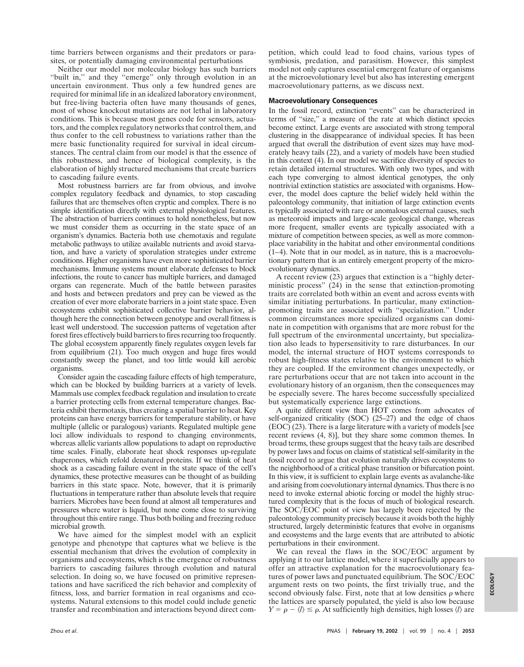time barriers between organisms and their predators or parasites, or potentially damaging environmental perturbations

Neither our model nor molecular biology has such barriers ''built in,'' and they ''emerge'' only through evolution in an uncertain environment. Thus only a few hundred genes are required for minimal life in an idealized laboratory environment, but free-living bacteria often have many thousands of genes, most of whose knockout mutations are not lethal in laboratory conditions. This is because most genes code for sensors, actuators, and the complex regulatory networks that control them, and thus confer to the cell robustness to variations rather than the mere basic functionality required for survival in ideal circumstances. The central claim from our model is that the essence of this robustness, and hence of biological complexity, is the elaboration of highly structured mechanisms that create barriers to cascading failure events.

Most robustness barriers are far from obvious, and involve complex regulatory feedback and dynamics, to stop cascading failures that are themselves often cryptic and complex. There is no simple identification directly with external physiological features. The abstraction of barriers continues to hold nonetheless, but now we must consider them as occurring in the state space of an organism's dynamics. Bacteria both use chemotaxis and regulate metabolic pathways to utilize available nutrients and avoid starvation, and have a variety of sporulation strategies under extreme conditions. Higher organisms have even more sophisticated barrier mechanisms. Immune systems mount elaborate defenses to block infections, the route to cancer has multiple barriers, and damaged organs can regenerate. Much of the battle between parasites and hosts and between predators and prey can be viewed as the creation of ever more elaborate barriers in a joint state space. Even ecosystems exhibit sophisticated collective barrier behavior, although here the connection between genotype and overall fitness is least well understood. The succession patterns of vegetation after forest fires effectively build barriers to fires recurring too frequently. The global ecosystem apparently finely regulates oxygen levels far from equilibrium (21). Too much oxygen and huge fires would constantly sweep the planet, and too little would kill aerobic organisms.

Consider again the cascading failure effects of high temperature, which can be blocked by building barriers at a variety of levels. Mammals use complex feedback regulation and insulation to create a barrier protecting cells from external temperature changes. Bacteria exhibit thermotaxis, thus creating a spatial barrier to heat. Key proteins can have energy barriers for temperature stability, or have multiple (allelic or paralogous) variants. Regulated multiple gene loci allow individuals to respond to changing environments, whereas allelic variants allow populations to adapt on reproductive time scales. Finally, elaborate heat shock responses up-regulate chaperones, which refold denatured proteins. If we think of heat shock as a cascading failure event in the state space of the cell's dynamics, these protective measures can be thought of as building barriers in this state space. Note, however, that it is primarily fluctuations in temperature rather than absolute levels that require barriers. Microbes have been found at almost all temperatures and pressures where water is liquid, but none come close to surviving throughout this entire range. Thus both boiling and freezing reduce microbial growth.

We have aimed for the simplest model with an explicit genotype and phenotype that captures what we believe is the essential mechanism that drives the evolution of complexity in organisms and ecosystems, which is the emergence of robustness barriers to cascading failures through evolution and natural selection. In doing so, we have focused on primitive representations and have sacrificed the rich behavior and complexity of fitness, loss, and barrier formation in real organisms and ecosystems. Natural extensions to this model could include genetic transfer and recombination and interactions beyond direct competition, which could lead to food chains, various types of symbiosis, predation, and parasitism. However, this simplest model not only captures essential emergent feature of organisms at the microevolutionary level but also has interesting emergent macroevolutionary patterns, as we discuss next.

#### **Macroevolutionary Consequences**

In the fossil record, extinction ''events'' can be characterized in terms of ''size,'' a measure of the rate at which distinct species become extinct. Large events are associated with strong temporal clustering in the disappearance of individual species. It has been argued that overall the distribution of event sizes may have moderately heavy tails (22), and a variety of models have been studied in this context (4). In our model we sacrifice diversity of species to retain detailed internal structures. With only two types, and with each type converging to almost identical genotypes, the only nontrivial extinction statistics are associated with organisms. However, the model does capture the belief widely held within the paleontology community, that initiation of large extinction events is typically associated with rare or anomalous external causes, such as meteoroid impacts and large-scale geological change, whereas more frequent, smaller events are typically associated with a mixture of competition between species, as well as more commonplace variability in the habitat and other environmental conditions (1–4). Note that in our model, as in nature, this is a macroevolutionary pattern that is an entirely emergent property of the microevolutionary dynamics.

A recent review (23) argues that extinction is a ''highly deterministic process'' (24) in the sense that extinction-promoting traits are correlated both within an event and across events with similar initiating perturbations. In particular, many extinctionpromoting traits are associated with ''specialization.'' Under common circumstances more specialized organisms can dominate in competition with organisms that are more robust for the full spectrum of the environmental uncertainty, but specialization also leads to hypersensitivity to rare disturbances. In our model, the internal structure of HOT systems corresponds to robust high-fitness states relative to the environment to which they are coupled. If the environment changes unexpectedly, or rare perturbations occur that are not taken into account in the evolutionary history of an organism, then the consequences may be especially severe. The hares become successfully specialized but systematically experience large extinctions.

A quite different view than HOT comes from advocates of self-organized criticality (SOC) (25–27) and the edge of chaos (EOC) (23). There is a large literature with a variety of models [see recent reviews (4, 8)], but they share some common themes. In broad terms, these groups suggest that the heavy tails are described by power laws and focus on claims of statistical self-similarity in the fossil record to argue that evolution naturally drives ecosystems to the neighborhood of a critical phase transition or bifurcation point. In this view, it is sufficient to explain large events as avalanche-like and arising from coevolutionary internal dynamics. Thus there is no need to invoke external abiotic forcing or model the highly structured complexity that is the focus of much of biological research. The SOC/EOC point of view has largely been rejected by the paleontology community precisely because it avoids both the highly structured, largely deterministic features that evolve in organisms and ecosystems and the large events that are attributed to abiotic perturbations in their environment.

We can reveal the flaws in the  $SOC/EOC$  argument by applying it to our lattice model, where it superficially appears to offer an attractive explanation for the macroevolutionary features of power laws and punctuated equilibrium. The  $SOC/EOC$ argument rests on two points, the first trivially true, and the second obviously false. First, note that at low densities  $\rho$  where the lattices are sparsely populated, the yield is also low because  $Y = \rho - \langle l \rangle \leq \rho$ . At sufficiently high densities, high losses  $\langle l \rangle$  are